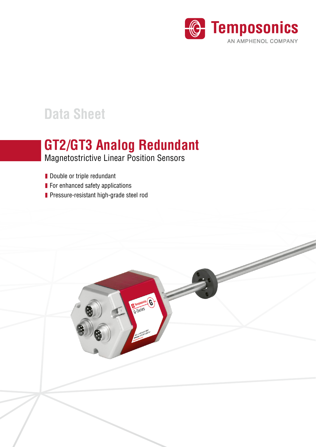

# **Data Sheet**

## **GT2/GT3 Analog Redundant**

Brannama (C)

Magnetostrictive Linear Position Sensors

- Double or triple redundant
- For enhanced safety applications
- Pressure-resistant high-grade steel rod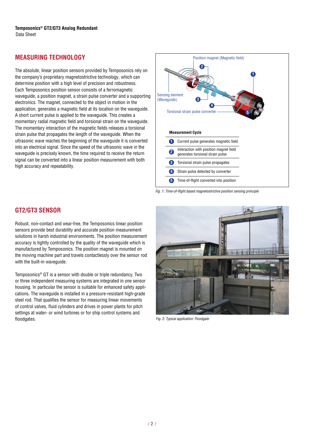## **MEASURING TECHNOLOGY**

The absolute, linear position sensors provided by Temposonics rely on the company's proprietary magnetostrictive technology, which can determine position with a high level of precision and robustness. Each Temposonics position sensor consists of a ferromagnetic waveguide, a position magnet, a strain pulse converter and a supporting electronics. The magnet, connected to the object in motion in the application, generates a magnetic field at its location on the waveguide. A short current pulse is applied to the waveguide. This creates a momentary radial magnetic field and torsional strain on the waveguide. The momentary interaction of the magnetic fields releases a torsional strain pulse that propagates the length of the waveguide. When the ultrasonic wave reaches the beginning of the waveguide it is converted into an electrical signal. Since the speed of the ultrasonic wave in the waveguide is precisely known, the time required to receive the return signal can be converted into a linear position measurement with both high accuracy and repeatability.



*Fig. 1:* Time-of-flight based magnetostrictive position sensing principle

#### **GT2/GT3 SENSOR**

Robust, non-contact and wear-free, the Temposonics linear position sensors provide best durability and accurate position measurement solutions in harsh industrial environments. The position measurement accuracy is tightly controlled by the quality of the waveguide which is manufactured by Temposonics. The position magnet is mounted on the moving machine part and travels contactlessly over the sensor rod with the built-in waveguide.

Temposonics® GT is a sensor with double or triple redundancy. Two or three independent measuring systems are integrated in one sensor housing. In particular the sensor is suitable for enhanced safety applications. The waveguide is installed in a pressure-resistant high-grade steel rod. That qualifies the sensor for measuring linear movements of control valves, fluid cylinders and drives in power plants for pitch settings at water- or wind turbines or for ship control systems and floodgates.



*Fig. 2: Typical application: Floodgate*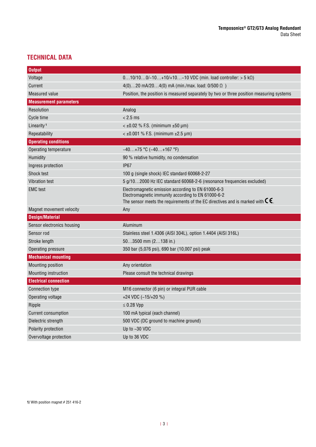## **TECHNICAL DATA**

| <b>Output</b>                 |                                                                                                                                                                                                                |
|-------------------------------|----------------------------------------------------------------------------------------------------------------------------------------------------------------------------------------------------------------|
| Voltage                       | $010/100/-10+10/+10-10 VDC$ (min. load controller: $> 5 kΩ$ )                                                                                                                                                  |
| Current                       | $4(0)20$ mA/204(0) mA (min./max. load: 0/500 $\Omega$ )                                                                                                                                                        |
| <b>Measured value</b>         | Position, the position is measured separately by two or three position measuring systems                                                                                                                       |
| <b>Measurement parameters</b> |                                                                                                                                                                                                                |
| Resolution                    | Analog                                                                                                                                                                                                         |
| Cycle time                    | $< 2.5$ ms                                                                                                                                                                                                     |
| Linearity <sup>1</sup>        | $\leq \pm 0.02$ % F.S. (minimum $\pm 50$ µm)                                                                                                                                                                   |
| Repeatability                 | $<$ ±0.001 % F.S. (minimum ±2.5 µm)                                                                                                                                                                            |
| <b>Operating conditions</b>   |                                                                                                                                                                                                                |
| Operating temperature         | $-40+75$ °C ( $-40+167$ °F)                                                                                                                                                                                    |
| Humidity                      | 90 % relative humidity, no condensation                                                                                                                                                                        |
| Ingress protection            | <b>IP67</b>                                                                                                                                                                                                    |
| Shock test                    | 100 g (single shock) IEC standard 60068-2-27                                                                                                                                                                   |
| <b>Vibration test</b>         | 5 g/102000 Hz IEC standard 60068-2-6 (resonance frequencies excluded)                                                                                                                                          |
| <b>EMC</b> test               | Electromagnetic emission according to EN 61000-6-3<br>Electromagnetic immunity according to EN 61000-6-2<br>The sensor meets the requirements of the EC directives and is marked with $\mathsf{C}\,\mathsf{C}$ |
| Magnet movement velocity      | Any                                                                                                                                                                                                            |
| <b>Design/Material</b>        |                                                                                                                                                                                                                |
| Sensor electronics housing    | Aluminum                                                                                                                                                                                                       |
| Sensor rod                    | Stainless steel 1.4306 (AISI 304L), option 1.4404 (AISI 316L)                                                                                                                                                  |
| Stroke length                 | $503500$ mm $(2138$ in.)                                                                                                                                                                                       |
| Operating pressure            | 350 bar (5,076 psi), 690 bar (10,007 psi) peak                                                                                                                                                                 |
| <b>Mechanical mounting</b>    |                                                                                                                                                                                                                |
| Mounting position             | Any orientation                                                                                                                                                                                                |
| <b>Mounting instruction</b>   | Please consult the technical drawings                                                                                                                                                                          |
| <b>Electrical connection</b>  |                                                                                                                                                                                                                |
| <b>Connection type</b>        | M16 connector (6 pin) or integral PUR cable                                                                                                                                                                    |
| Operating voltage             | +24 VDC (-15/+20 %)                                                                                                                                                                                            |
| Ripple                        | $\leq$ 0.28 Vpp                                                                                                                                                                                                |
| Current consumption           | 100 mA typical (each channel)                                                                                                                                                                                  |
| Dielectric strength           | 500 VDC (DC ground to machine ground)                                                                                                                                                                          |
| Polarity protection           | Up to -30 VDC                                                                                                                                                                                                  |
| Overvoltage protection        | Up to 36 VDC                                                                                                                                                                                                   |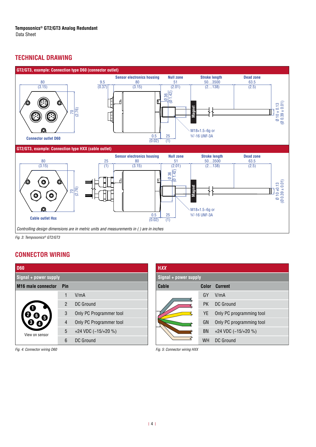## **TECHNICAL DRAWING**



*Fig. 3: Temposonics® GT2/GT3*

## **CONNECTOR WIRING**



| <b>HXX</b>            |           |                          |  |  |
|-----------------------|-----------|--------------------------|--|--|
| Signal + power supply |           |                          |  |  |
| Cable                 | Color     | <b>Current</b>           |  |  |
|                       | GY        | V/mA                     |  |  |
|                       | <b>PK</b> | DC Ground                |  |  |
|                       | YE.       | Only PC programming tool |  |  |
|                       | GN        | Only PC programming tool |  |  |
|                       | <b>BN</b> | +24 VDC $(-15/+20\%)$    |  |  |
|                       | WH        | DC Ground                |  |  |

*Fig. 4: Connector wiring D60 Fig. 5: Connector wiring HXX*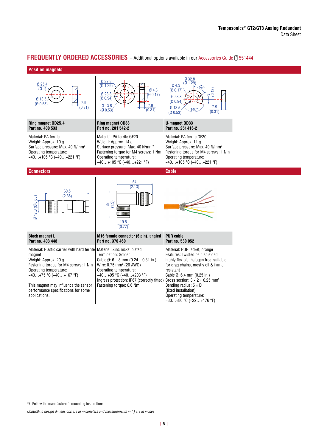#### **FREQUENTLY ORDERED ACCESSORIES** - Additional options available in our [Accessories Guide](http://temposonics.com/literature/551444_en) 1551444



**\*/** Follow the manufacturer's mounting instructions

Controlling design dimensions are in millimeters and measurements in ( ) are in inches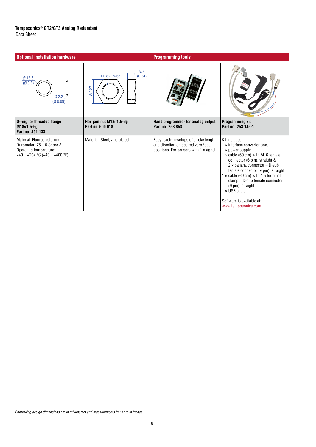| <b>Optional installation hardware</b>                                                                               |                                                     | <b>Programming tools</b>                                                                                               |                                                                                                                                                                                                                                                                                                                                                                                                                                   |  |
|---------------------------------------------------------------------------------------------------------------------|-----------------------------------------------------|------------------------------------------------------------------------------------------------------------------------|-----------------------------------------------------------------------------------------------------------------------------------------------------------------------------------------------------------------------------------------------------------------------------------------------------------------------------------------------------------------------------------------------------------------------------------|--|
| $Ø$ 15.3<br>(00.6)<br>02.2<br>(0.09)                                                                                | 8.7<br>(0.34)<br>$M18\times1.5-6g$<br><b>A/F 27</b> |                                                                                                                        |                                                                                                                                                                                                                                                                                                                                                                                                                                   |  |
| O-ring for threaded flange<br>$M18\times1.5-6q$<br>Part no. 401 133                                                 | Hex jam nut $M18\times1.5-6g$<br>Part no. 500 018   | Hand programmer for analog output<br>Part no. 253 853                                                                  | <b>Programming kit</b><br>Part no. 253 145-1                                                                                                                                                                                                                                                                                                                                                                                      |  |
| Material: Fluoroelastomer<br>Durometer: $75 \pm 5$ Shore A<br>Operating temperature:<br>$-40+204$ °C $(-40+400$ °F) | Material: Steel, zinc plated                        | Easy teach-in-setups of stroke length<br>and direction on desired zero / span<br>positions. For sensors with 1 magnet. | Kit includes:<br>$1 \times$ interface converter box.<br>$1 \times$ power supply<br>$1 \times$ cable (60 cm) with M16 female<br>connector (6 pin), straight &<br>$2 \times$ banana connector - D-sub<br>female connector (9 pin), straight<br>1 $\times$ cable (60 cm) with 4 $\times$ terminal<br>clamp - D-sub female connector<br>(9 pin), straight<br>$1 \times$ USB cable<br>Software is available at:<br>www.temposonics.com |  |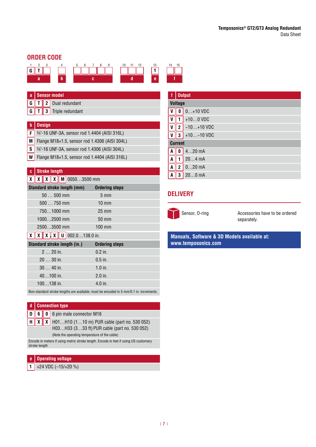### **ORDER CODE**



#### **a Sensor model**

**G T 2** Dual redundant

**G T 3** Triple redundant

#### **b Design**

- **F** ¾"-16 UNF-3A, sensor rod 1.4404 (AISI 316L)
- **M** Flange M18×1.5, sensor rod 1.4306 (AISI 304L)
- **S** ¾"-16 UNF-3A, sensor rod 1.4306 (AISI 304L)
- **W** Flange M18×1.5, sensor rod 1.4404 (AISI 316L)

#### **c Stroke length**

| $X$ $X$ $X$ $X$ $N$ $00503500$ mm |
|-----------------------------------|
|-----------------------------------|

| Standard stroke length (mm) | <b>Ordering steps</b> |  |
|-----------------------------|-----------------------|--|
| $50500$ mm                  | $5 \text{ mm}$        |  |
| $500750$ mm                 | $10 \text{ mm}$       |  |
| 7501000 mm                  | $25 \text{ mm}$       |  |
| 10002500 mm                 | 50 mm                 |  |
| 25003500 mm                 | $100 \text{ mm}$      |  |

#### **X X X X U** 002.0…138.0 in.

| Standard stroke length (in.) | <b>Ordering steps</b> |  |  |
|------------------------------|-----------------------|--|--|
| $220$ in.                    | $0.2$ in.             |  |  |
| $2030$ in.                   | $0.5$ in.             |  |  |
| $3040$ in.                   | $1.0$ in.             |  |  |
| $40100$ in.                  | $2.0$ in.             |  |  |
| $100138$ in.                 | 4.0 in.               |  |  |
|                              |                       |  |  |

Non-standard stroke lengths are available; must be encoded in 5 mm/0.1 in. increments.

#### **d Connection type D 6 0** 6 pin male connector M16 **H X X** H01…H10 (1…10 m) PUR cable (part no. 530 052) H03…H33 (3…33 ft) PUR cable (part no. 530 052) (Note the operating temperature of the cable) Encode in meters if using metric stroke length. Encode in feet if using US customary stroke length

#### **e Operating voltage**

**1** +24 VDC (–15/+20 %)

|                |                | <b>Output</b> |  |  |
|----------------|----------------|---------------|--|--|
|                | <b>Voltage</b> |               |  |  |
| V              | 0              | $0+10$ VDC    |  |  |
| V              |                | $+100$ VDC    |  |  |
| V              | 2              | $-10+10$ VDC  |  |  |
| V              | 3              | $+10 -10$ VDC |  |  |
| <b>Current</b> |                |               |  |  |
| A              | 0              | $420$ mA      |  |  |
| A              |                | 204mA         |  |  |
| A              | 2              | $020$ mA      |  |  |
| A              | 3              | $200$ mA      |  |  |

### **DELIVERY**

Sensor, O-ring **Accessories** have to be ordered separately.

#### **. Manuals, Software & 3D Models available at: [www.temposonics.com](http://www.temposonics.com)**